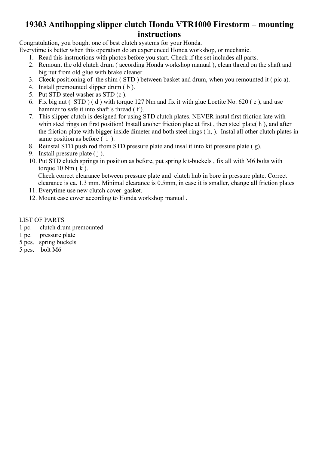### 19303 Antihopping slipper clutch Honda VTR1000 Firestorm – mounting instructions

Congratulation, you bought one of best clutch systems for your Honda.

- Everytime is better when this operation do an experienced Honda workshop, or mechanic.
	- 1. Read this instructions with photos before you start. Check if the set includes all parts.
	- 2. Remount the old clutch drum ( according Honda workshop manual ), clean thread on the shaft and big nut from old glue with brake cleaner.
	- 3. Ckeck positioning of the shim ( STD ) between basket and drum, when you remounted it ( pic a).
	- 4. Install premounted slipper drum ( b ).
	- 5. Put STD steel washer as STD (c ).
	- 6. Fix big nut ( STD ) ( d ) with torque 127 Nm and fix it with glue Loctite No. 620 ( e ), and use hammer to safe it into shaft's thread  $(f)$ .
	- 7. This slipper clutch is designed for using STD clutch plates. NEVER instal first friction late with whin steel rings on first position! Install anoher friction plae at first, then steel plate(h), and after the friction plate with bigger inside dimeter and both steel rings ( h, ). Instal all other clutch plates in same position as before  $(i)$ .
	- 8. Reinstal STD push rod from STD pressure plate and insal it into kit pressure plate ( g).
	- 9. Install pressure plate ( j ).
	- 10. Put STD clutch springs in position as before, put spring kit-buckels , fix all with M6 bolts with torque  $10 \text{ Nm}$  (k).

Check correct clearance between pressure plate and clutch hub in bore in pressure plate. Correct clearance is ca. 1.3 mm. Minimal clearance is 0.5mm, in case it is smaller, change all friction plates

- 11. Everytime use new clutch cover gasket.
- 12. Mount case cover according to Honda workshop manual .

### LIST OF PARTS

- 1 pc. clutch drum premounted
- 1 pc. pressure plate
- 5 pcs. spring buckels
- 5 pcs. bolt M6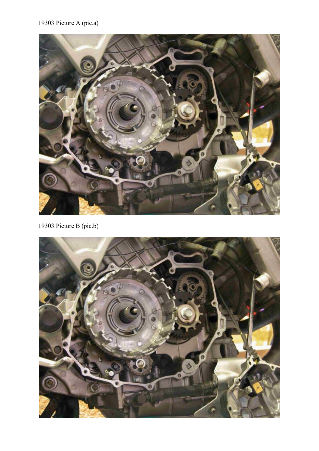# 19303 Picture A (pic.a)



19303 Picture B (pic.b)

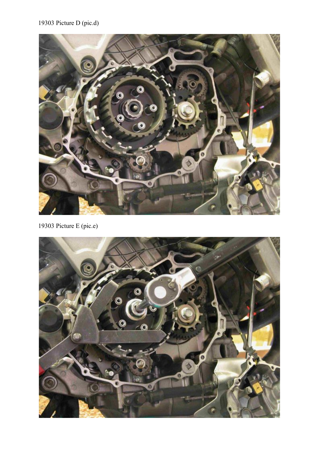# 19303 Picture D (pic.d)



19303 Picture E (pic.e)

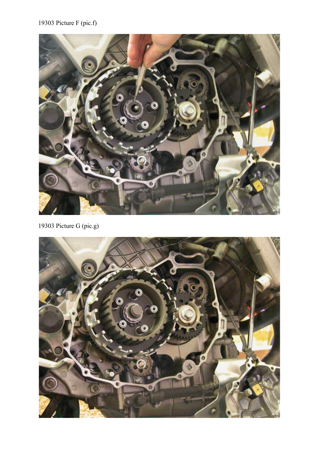# 19303 Picture F (pic.f)



19303 Picture G (pic.g)

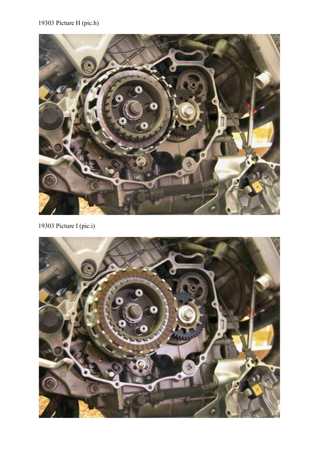# 19303 Picture H (pic.h)



19303 Picture I (pic.i)

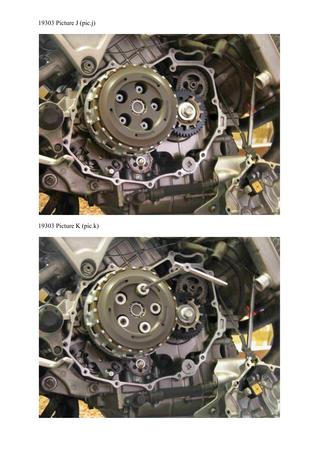# 19303 Picture J (pic.j)



19303 Picture K (pic.k)